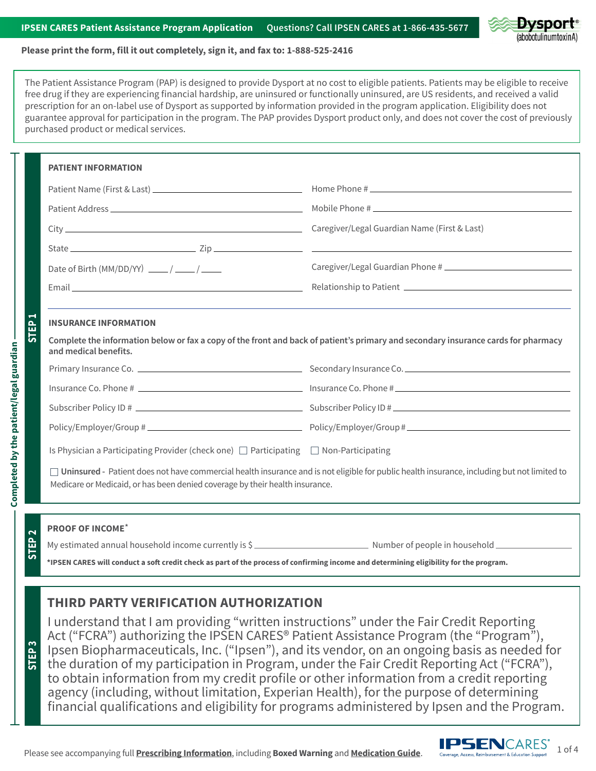

#### **Please print the form, fill it out completely, sign it, and fax to: 1-888-525-2416**

The Patient Assistance Program (PAP) is designed to provide Dysport at no cost to eligible patients. Patients may be eligible to receive free drug if they are experiencing financial hardship, are uninsured or functionally uninsured, are US residents, and received a valid prescription for an on-label use of Dysport as supported by information provided in the program application. Eligibility does not guarantee approval for participation in the program. The PAP provides Dysport product only, and does not cover the cost of previously purchased product or medical services.

|                         | <b>PATIENT INFORMATION</b>                                                                                                                                                                                                    |                                                                           |  |  |
|-------------------------|-------------------------------------------------------------------------------------------------------------------------------------------------------------------------------------------------------------------------------|---------------------------------------------------------------------------|--|--|
|                         |                                                                                                                                                                                                                               |                                                                           |  |  |
|                         |                                                                                                                                                                                                                               |                                                                           |  |  |
|                         |                                                                                                                                                                                                                               | Caregiver/Legal Guardian Name (First & Last)                              |  |  |
|                         |                                                                                                                                                                                                                               |                                                                           |  |  |
|                         | Date of Birth (MM/DD/YY) $\frac{1}{\frac{1}{2}}$ / $\frac{1}{\frac{1}{2}}$                                                                                                                                                    |                                                                           |  |  |
|                         |                                                                                                                                                                                                                               |                                                                           |  |  |
| 읎<br>5                  | <b>INSURANCE INFORMATION</b><br>Complete the information below or fax a copy of the front and back of patient's primary and secondary insurance cards for pharmacy                                                            |                                                                           |  |  |
|                         | and medical benefits.                                                                                                                                                                                                         |                                                                           |  |  |
|                         |                                                                                                                                                                                                                               | Primary Insurance Co. 100 million contract to the Secondary Insurance Co. |  |  |
|                         |                                                                                                                                                                                                                               |                                                                           |  |  |
|                         |                                                                                                                                                                                                                               |                                                                           |  |  |
|                         |                                                                                                                                                                                                                               |                                                                           |  |  |
|                         | Is Physician a Participating Provider (check one) □ Participating □ Non-Participating                                                                                                                                         |                                                                           |  |  |
|                         | □ Uninsured - Patient does not have commercial health insurance and is not eligible for public health insurance, including but not limited to<br>Medicare or Medicaid, or has been denied coverage by their health insurance. |                                                                           |  |  |
| $\overline{\mathbf{C}}$ | <b>PROOF OF INCOME*</b>                                                                                                                                                                                                       |                                                                           |  |  |
| Δ<br>w                  |                                                                                                                                                                                                                               | My estimated annual household income currently is \$                      |  |  |
| 5                       | *IPSEN CARES will conduct a soft credit check as part of the process of confirming income and determining eligibility for the program.                                                                                        |                                                                           |  |  |

## **THIRD PARTY VERIFICATION AUTHORIZATION**

I understand that I am providing "written instructions" under the Fair Credit Reporting Act ("FCRA") authorizing the IPSEN CARES<sup>®</sup> Patient Assistance Program (the "Program"), Ipsen Biopharmaceuticals, Inc. ("Ipsen"), and its vendor, on an ongoing basis as needed for the duration of my participation in Program, under the Fair Credit Reporting Act ("FCRA"), to obtain information from my credit profile or other information from a credit reporting agency (including, without limitation, Experian Health), for the purpose of determining financial qualifications and eligibility for programs administered by Ipsen and the Program.

**STEP 3**

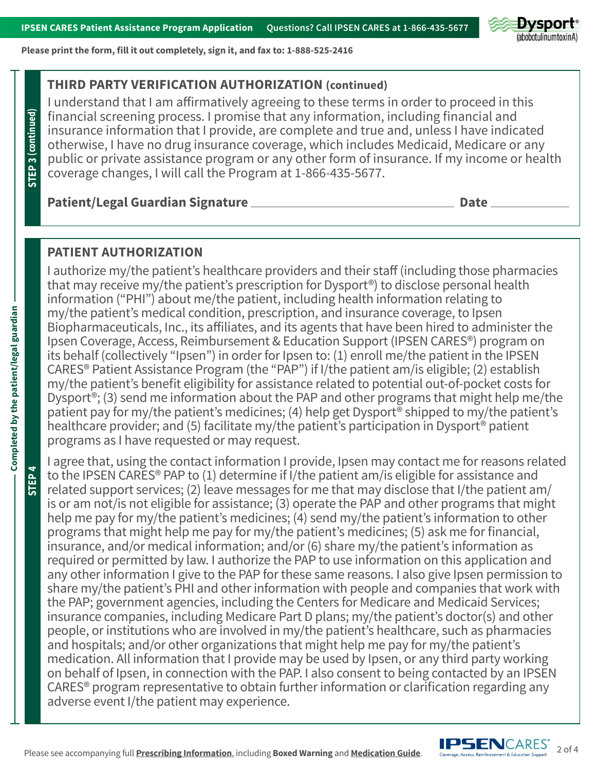

**Please print the form, fill it out completely, sign it, and fax to: 1-888-525-2416**

### **THIRD PARTY VERIFICATION AUTHORIZATION (continued)**

I understand that I am affirmatively agreeing to these terms in order to proceed in this financial screening process. I promise that any information, including financial and insurance information that I provide, are complete and true and, unless I have indicated otherwise, I have no drug insurance coverage, which includes Medicaid, Medicare or any public or private assistance program or any other form of insurance. If my income or health coverage changes, I will call the Program at 1-866-435-5677.

### Patient/Legal Guardian Signature **Date Access 2016** Date **Date** 2

# **PATIENT AUTHORIZATION**

I authorize my/the patient's healthcare providers and their staff (including those pharmacies that may receive my/the patient's prescription for Dysport®) to disclose personal health information ("PHI") about me/the patient, including health information relating to my/the patient's medical condition, prescription, and insurance coverage, to Ipsen Biopharmaceuticals, Inc., its affiliates, and its agents that have been hired to administer the Ipsen Coverage, Access, Reimbursement & Education Support (IPSEN CARES®) program on its behalf (collectively "Ipsen") in order for Ipsen to: (1) enroll me/the patient in the IPSEN CARES® Patient Assistance Program (the "PAP") if I/the patient am/is eligible; (2) establish my/the patient's benefit eligibility for assistance related to potential out-of-pocket costs for Dysport®; (3) send me information about the PAP and other programs that might help me/the patient pay for my/the patient's medicines; (4) help get Dysport<sup>®</sup> shipped to my/the patient's healthcare provider; and (5) facilitate my/the patient's participation in Dysport® patient programs as I have requested or may request.

I agree that, using the contact information I provide, Ipsen may contact me for reasons related to the IPSEN CARES® PAP to (1) determine if I/the patient am/is eligible for assistance and related support services; (2) leave messages for me that may disclose that I/the patient am/ is or am not/is not eligible for assistance; (3) operate the PAP and other programs that might help me pay for my/the patient's medicines; (4) send my/the patient's information to other programs that might help me pay for my/the patient's medicines; (5) ask me for financial, insurance, and/or medical information; and/or (6) share my/the patient's information as required or permitted by law. I authorize the PAP to use information on this application and any other information I give to the PAP for these same reasons. I also give Ipsen permission to share my/the patient's PHI and other information with people and companies that work with the PAP; government agencies, including the Centers for Medicare and Medicaid Services; insurance companies, including Medicare Part D plans; my/the patient's doctor(s) and other people, or institutions who are involved in my/the patient's healthcare, such as pharmacies and hospitals; and/or other organizations that might help me pay for my/the patient's medication. All information that I provide may be used by Ipsen, or any third party working on behalf of Ipsen, in connection with the PAP. I also consent to being contacted by an IPSEN CARES® program representative to obtain further information or clarification regarding any adverse event I/the patient may experience.



**STEP 4**

**STEP 3 (continued)**

STEP 3 (continued)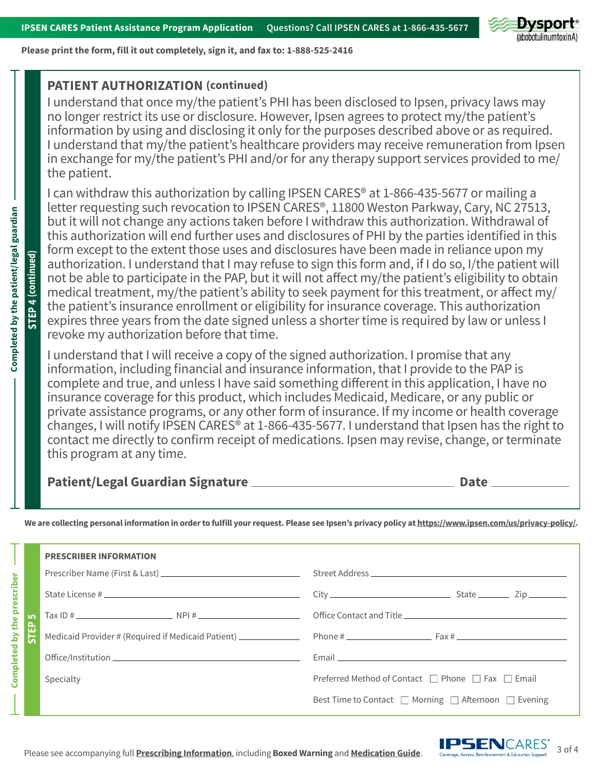

**Please print the form, fill it out completely, sign it, and fax to: 1-888-525-2416**

### **PATIENT AUTHORIZATION (continued)**

I understand that once my/the patient's PHI has been disclosed to Ipsen, privacy laws may no longer restrict its use or disclosure. However, Ipsen agrees to protect my/the patient's information by using and disclosing it only for the purposes described above or as required. I understand that my/the patient's healthcare providers may receive remuneration from Ipsen in exchange for my/the patient's PHI and/or for any therapy support services provided to me/ the patient.

I can withdraw this authorization by calling IPSEN CARES® at 1-866-435-5677 or mailing a letter requesting such revocation to IPSEN CARES<sup>®</sup>, 11800 Weston Parkway, Cary, NC 27513, but it will not change any actions taken before I withdraw this authorization. Withdrawal of this authorization will end further uses and disclosures of PHI by the parties identified in this form except to the extent those uses and disclosures have been made in reliance upon my authorization. I understand that I may refuse to sign this form and, if I do so, I/the patient will not be able to participate in the PAP, but it will not affect my/the patient's eligibility to obtain medical treatment, my/the patient's ability to seek payment for this treatment, or affect my/ the patient's insurance enrollment or eligibility for insurance coverage. This authorization expires three years from the date signed unless a shorter time is required by law or unless I revoke my authorization before that time.

I understand that I will receive a copy of the signed authorization. I promise that any information, including financial and insurance information, that I provide to the PAP is complete and true, and unless I have said something different in this application, I have no insurance coverage for this product, which includes Medicaid, Medicare, or any public or private assistance programs, or any other form of insurance. If my income or health coverage changes, I will notify IPSEN CARES® at 1-866-435-5677. I understand that Ipsen has the right to contact me directly to confirm receipt of medications. Ipsen may revise, change, or terminate this program at any time.

## **Patient/Legal Guardian Signature Date**

**We are collecting personal information in order to fulfill your request. Please see Ipsen's privacy policy at [https://www.ipsen.com/us/privacy-policy/.](https://www.ipsen.com/us/privacy-policy/)**

|  | <b>PRESCRIBER INFORMATION</b>                                    |                                                                                                                       |  |  |
|--|------------------------------------------------------------------|-----------------------------------------------------------------------------------------------------------------------|--|--|
|  |                                                                  |                                                                                                                       |  |  |
|  |                                                                  |                                                                                                                       |  |  |
|  |                                                                  |                                                                                                                       |  |  |
|  | Medicaid Provider # (Required if Medicaid Patient) _____________ |                                                                                                                       |  |  |
|  |                                                                  | Email <b>Exercise Service Service Service Service</b> Service Service Service Service Service Service Service Service |  |  |
|  | Specialty                                                        | Preferred Method of Contact $\Box$ Phone $\Box$ Fax $\Box$ Email                                                      |  |  |
|  |                                                                  | Best Time to Contact $\Box$ Morning $\Box$ Afternoon $\Box$ Evening                                                   |  |  |

**Completed by the prescriber**

Completed by the prescriber